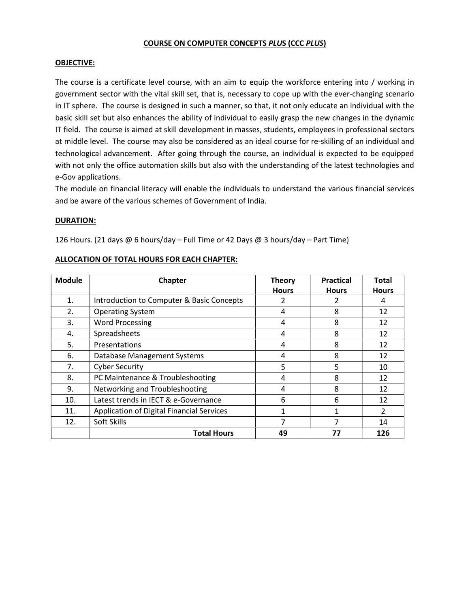#### COURSE ON COMPUTER CONCEPTS PLUS (CCC PLUS)

#### OBJECTIVE:

The course is a certificate level course, with an aim to equip the workforce entering into / working in government sector with the vital skill set, that is, necessary to cope up with the ever-changing scenario in IT sphere. The course is designed in such a manner, so that, it not only educate an individual with the basic skill set but also enhances the ability of individual to easily grasp the new changes in the dynamic IT field. The course is aimed at skill development in masses, students, employees in professional sectors at middle level. The course may also be considered as an ideal course for re-skilling of an individual and technological advancement. After going through the course, an individual is expected to be equipped with not only the office automation skills but also with the understanding of the latest technologies and e-Gov applications.

The module on financial literacy will enable the individuals to understand the various financial services and be aware of the various schemes of Government of India.

#### DURATION:

126 Hours. (21 days @ 6 hours/day – Full Time or 42 Days @ 3 hours/day – Part Time)

|--|

| <b>Module</b> | <b>Chapter</b>                                   | <b>Theory</b> | <b>Practical</b> | Total         |
|---------------|--------------------------------------------------|---------------|------------------|---------------|
|               |                                                  | <b>Hours</b>  | <b>Hours</b>     | <b>Hours</b>  |
| 1.            | Introduction to Computer & Basic Concepts        | 2             | 2                | 4             |
| 2.            | <b>Operating System</b>                          | 4             | 8                | 12            |
| 3.            | <b>Word Processing</b>                           | 4             | 8                | 12            |
| 4.            | Spreadsheets                                     | 4             | 8                | 12            |
| 5.            | Presentations                                    | 4             | 8                | 12            |
| 6.            | Database Management Systems                      | 4             | 8                | 12            |
| 7.            | <b>Cyber Security</b>                            | 5             | 5                | 10            |
| 8.            | PC Maintenance & Troubleshooting                 | 4             | 8                | 12            |
| 9.            | Networking and Troubleshooting                   | 4             | 8                | 12            |
| 10.           | Latest trends in IECT & e-Governance             | 6             | 6                | 12            |
| 11.           | <b>Application of Digital Financial Services</b> |               | 1                | $\mathcal{P}$ |
| 12.           | Soft Skills                                      |               | 7                | 14            |
|               | <b>Total Hours</b>                               | 49            | 77               | 126           |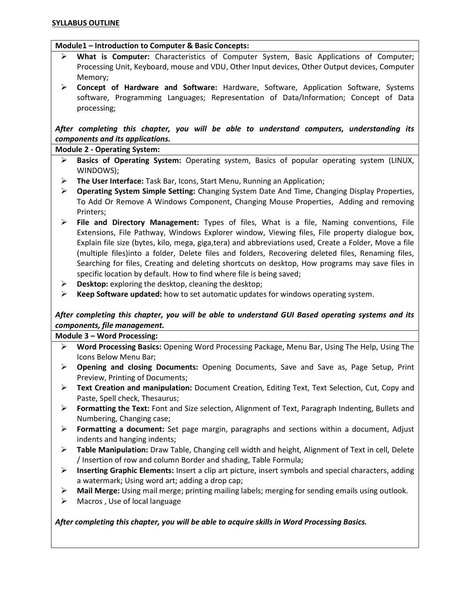#### Module1 – Introduction to Computer & Basic Concepts:

- What is Computer: Characteristics of Computer System, Basic Applications of Computer; Processing Unit, Keyboard, mouse and VDU, Other Input devices, Other Output devices, Computer Memory;
- $\triangleright$  Concept of Hardware and Software: Hardware, Software, Application Software, Systems software, Programming Languages; Representation of Data/Information; Concept of Data processing;

After completing this chapter, you will be able to understand computers, understanding its components and its applications.

Module 2 - Operating System:

- Basics of Operating System: Operating system, Basics of popular operating system (LINUX, WINDOWS);
- ▶ The User Interface: Task Bar, Icons, Start Menu, Running an Application;
- $\triangleright$  Operating System Simple Setting: Changing System Date And Time, Changing Display Properties, To Add Or Remove A Windows Component, Changing Mouse Properties, Adding and removing Printers;
- $\triangleright$  File and Directory Management: Types of files, What is a file, Naming conventions, File Extensions, File Pathway, Windows Explorer window, Viewing files, File property dialogue box, Explain file size (bytes, kilo, mega, giga,tera) and abbreviations used, Create a Folder, Move a file (multiple files)into a folder, Delete files and folders, Recovering deleted files, Renaming files, Searching for files, Creating and deleting shortcuts on desktop, How programs may save files in specific location by default. How to find where file is being saved;
- $\triangleright$  Desktop: exploring the desktop, cleaning the desktop;
- $\triangleright$  Keep Software updated: how to set automatic updates for windows operating system.

## After completing this chapter, you will be able to understand GUI Based operating systems and its components, file management.

Module 3 – Word Processing:

- $\triangleright$  Word Processing Basics: Opening Word Processing Package, Menu Bar, Using The Help, Using The Icons Below Menu Bar;
- $\triangleright$  Opening and closing Documents: Opening Documents, Save and Save as, Page Setup, Print Preview, Printing of Documents;
- $\triangleright$  Text Creation and manipulation: Document Creation, Editing Text, Text Selection, Cut, Copy and Paste, Spell check, Thesaurus;
- $\triangleright$  Formatting the Text: Font and Size selection, Alignment of Text, Paragraph Indenting, Bullets and Numbering, Changing case;
- $\triangleright$  Formatting a document: Set page margin, paragraphs and sections within a document, Adjust indents and hanging indents;
- $\triangleright$  Table Manipulation: Draw Table, Changing cell width and height, Alignment of Text in cell, Delete / Insertion of row and column Border and shading, Table Formula;
- $\triangleright$  Inserting Graphic Elements: Insert a clip art picture, insert symbols and special characters, adding a watermark; Using word art; adding a drop cap;
- $\triangleright$  Mail Merge: Using mail merge; printing mailing labels; merging for sending emails using outlook.
- $\triangleright$  Macros, Use of local language

#### After completing this chapter, you will be able to acquire skills in Word Processing Basics.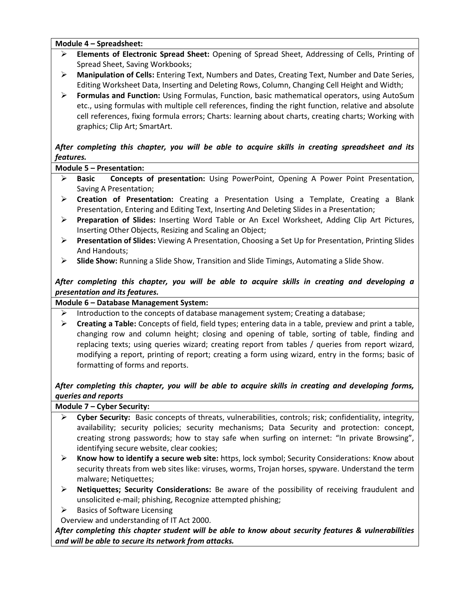Module 4 – Spreadsheet:

- Elements of Electronic Spread Sheet: Opening of Spread Sheet, Addressing of Cells, Printing of Spread Sheet, Saving Workbooks;
- $\triangleright$  Manipulation of Cells: Entering Text, Numbers and Dates, Creating Text, Number and Date Series, Editing Worksheet Data, Inserting and Deleting Rows, Column, Changing Cell Height and Width;
- $\triangleright$  Formulas and Function: Using Formulas, Function, basic mathematical operators, using AutoSum etc., using formulas with multiple cell references, finding the right function, relative and absolute cell references, fixing formula errors; Charts: learning about charts, creating charts; Working with graphics; Clip Art; SmartArt.

After completing this chapter, you will be able to acquire skills in creating spreadsheet and its features.

Module 5 – Presentation:

- $\triangleright$  Basic Concepts of presentation: Using PowerPoint, Opening A Power Point Presentation, Saving A Presentation;
- $\triangleright$  Creation of Presentation: Creating a Presentation Using a Template, Creating a Blank Presentation, Entering and Editing Text, Inserting And Deleting Slides in a Presentation;
- ▶ Preparation of Slides: Inserting Word Table or An Excel Worksheet, Adding Clip Art Pictures, Inserting Other Objects, Resizing and Scaling an Object;
- ▶ Presentation of Slides: Viewing A Presentation, Choosing a Set Up for Presentation, Printing Slides And Handouts;
- $\triangleright$  Slide Show: Running a Slide Show, Transition and Slide Timings, Automating a Slide Show.

After completing this chapter, you will be able to acquire skills in creating and developing a presentation and its features.

Module 6 – Database Management System:

- Introduction to the concepts of database management system; Creating a database;
- $\triangleright$  Creating a Table: Concepts of field, field types; entering data in a table, preview and print a table, changing row and column height; closing and opening of table, sorting of table, finding and replacing texts; using queries wizard; creating report from tables / queries from report wizard, modifying a report, printing of report; creating a form using wizard, entry in the forms; basic of formatting of forms and reports.

## After completing this chapter, you will be able to acquire skills in creating and developing forms, queries and reports

Module 7 – Cyber Security:

- $\triangleright$  Cyber Security: Basic concepts of threats, vulnerabilities, controls; risk; confidentiality, integrity, availability; security policies; security mechanisms; Data Security and protection: concept, creating strong passwords; how to stay safe when surfing on internet: "In private Browsing", identifying secure website, clear cookies;
- $\triangleright$  Know how to identify a secure web site: https, lock symbol; Security Considerations: Know about security threats from web sites like: viruses, worms, Trojan horses, spyware. Understand the term malware; Netiquettes;
- $\triangleright$  Netiquettes; Security Considerations: Be aware of the possibility of receiving fraudulent and unsolicited e-mail; phishing, Recognize attempted phishing;
- $\triangleright$  Basics of Software Licensing

Overview and understanding of IT Act 2000.

After completing this chapter student will be able to know about security features & vulnerabilities and will be able to secure its network from attacks.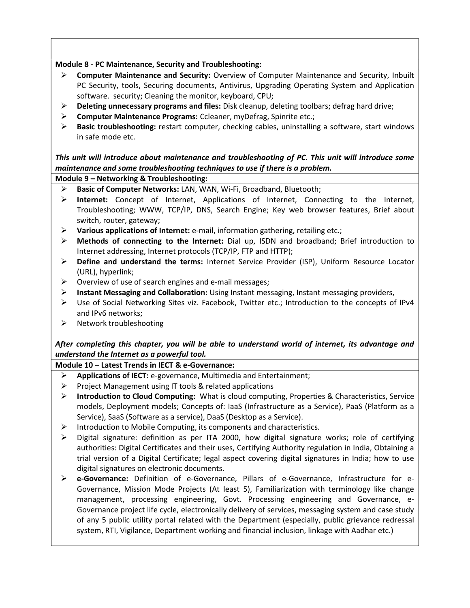## Module 8 - PC Maintenance, Security and Troubleshooting:

- Computer Maintenance and Security: Overview of Computer Maintenance and Security, Inbuilt PC Security, tools, Securing documents, Antivirus, Upgrading Operating System and Application software. security; Cleaning the monitor, keyboard, CPU;
- $\triangleright$  Deleting unnecessary programs and files: Disk cleanup, deleting toolbars; defrag hard drive;
- Computer Maintenance Programs: Ccleaner, myDefrag, Spinrite etc.;
- $\triangleright$  Basic troubleshooting: restart computer, checking cables, uninstalling a software, start windows in safe mode etc.

## This unit will introduce about maintenance and troubleshooting of PC. This unit will introduce some maintenance and some troubleshooting techniques to use if there is a problem.

### Module 9 – Networking & Troubleshooting:

- Basic of Computer Networks: LAN, WAN, Wi-Fi, Broadband, Bluetooth;
- $\triangleright$  Internet: Concept of Internet, Applications of Internet, Connecting to the Internet, Troubleshooting; WWW, TCP/IP, DNS, Search Engine; Key web browser features, Brief about switch, router, gateway;
- Various applications of Internet: e-mail, information gathering, retailing etc.;
- Methods of connecting to the Internet: Dial up, ISDN and broadband; Brief introduction to Internet addressing, Internet protocols (TCP/IP, FTP and HTTP);
- $\triangleright$  Define and understand the terms: Internet Service Provider (ISP), Uniform Resource Locator (URL), hyperlink;
- $\triangleright$  Overview of use of search engines and e-mail messages;
- $\triangleright$  Instant Messaging and Collaboration: Using Instant messaging, Instant messaging providers,
- $\triangleright$  Use of Social Networking Sites viz. Facebook, Twitter etc.; Introduction to the concepts of IPv4 and IPv6 networks;
- $\triangleright$  Network troubleshooting

# After completing this chapter, you will be able to understand world of internet, its advantage and understand the Internet as a powerful tool.

### Module 10 – Latest Trends in IECT & e-Governance:

- $\triangleright$  Applications of IECT: e-governance, Multimedia and Entertainment;
- $\triangleright$  Project Management using IT tools & related applications
- ▶ Introduction to Cloud Computing: What is cloud computing, Properties & Characteristics, Service models, Deployment models; Concepts of: IaaS (Infrastructure as a Service), PaaS (Platform as a Service), SaaS (Software as a service), DaaS (Desktop as a Service).
- $\triangleright$  Introduction to Mobile Computing, its components and characteristics.
- Digital signature: definition as per ITA 2000, how digital signature works; role of certifying authorities: Digital Certificates and their uses, Certifying Authority regulation in India, Obtaining a trial version of a Digital Certificate; legal aspect covering digital signatures in India; how to use digital signatures on electronic documents.
- e-Governance: Definition of e-Governance, Pillars of e-Governance, Infrastructure for e-Governance, Mission Mode Projects (At least 5), Familiarization with terminology like change management, processing engineering, Govt. Processing engineering and Governance, e-Governance project life cycle, electronically delivery of services, messaging system and case study of any 5 public utility portal related with the Department (especially, public grievance redressal system, RTI, Vigilance, Department working and financial inclusion, linkage with Aadhar etc.)